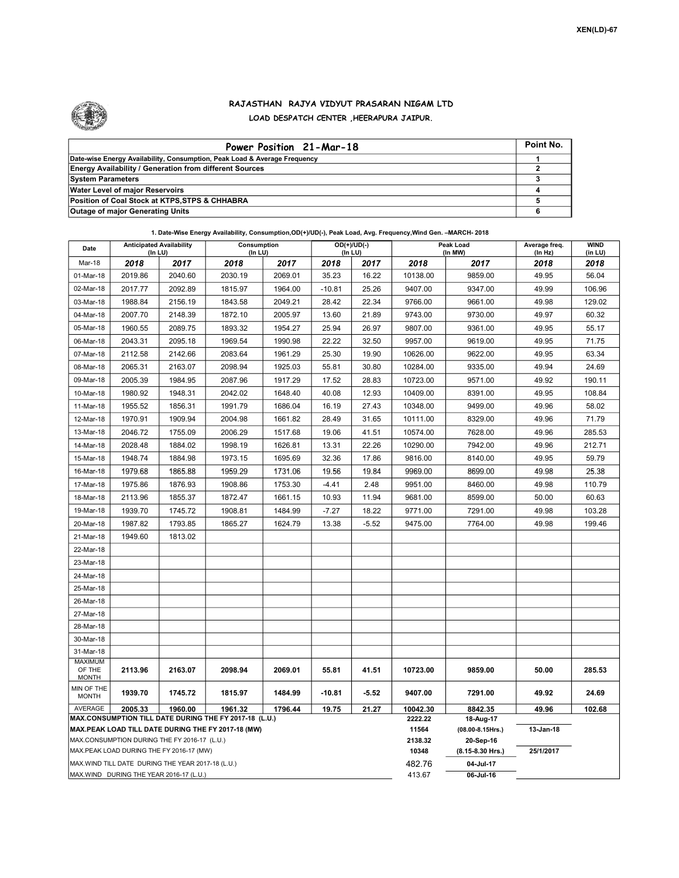

## RAJASTHAN RAJYA VIDYUT PRASARAN NIGAM LTD LOAD DESPATCH CENTER ,HEERAPURA JAIPUR.

| Power Position 21-Mar-18                                                  | Point No. |
|---------------------------------------------------------------------------|-----------|
| Date-wise Energy Availability, Consumption, Peak Load & Average Frequency |           |
| <b>Energy Availability / Generation from different Sources</b>            |           |
| <b>System Parameters</b>                                                  |           |
| <b>Water Level of major Reservoirs</b>                                    |           |
| Position of Coal Stock at KTPS, STPS & CHHABRA                            |           |
| <b>Outage of major Generating Units</b>                                   |           |

1. Date-Wise Energy Availability, Consumption,OD(+)/UD(-), Peak Load, Avg. Frequency,Wind Gen. –MARCH- 2018

| Date                        | <b>Anticipated Availability</b><br>$($ In LU $)$                                                                                                                                                         |                                                   | Consumption<br>(ln LU) |         | OD(+)/UD(-)<br>(In LU) |         |                  | Peak Load<br>(In MW)               | Average freq.<br>(In Hz) | <b>WIND</b><br>(in LU) |  |  |
|-----------------------------|----------------------------------------------------------------------------------------------------------------------------------------------------------------------------------------------------------|---------------------------------------------------|------------------------|---------|------------------------|---------|------------------|------------------------------------|--------------------------|------------------------|--|--|
| Mar-18                      | 2018                                                                                                                                                                                                     | 2017                                              | 2018                   | 2017    | 2018                   | 2017    | 2018             | 2017                               | 2018                     | 2018                   |  |  |
| 01-Mar-18                   | 2019.86                                                                                                                                                                                                  | 2040.60                                           | 2030.19                | 2069.01 | 35.23                  | 16.22   | 10138.00         | 9859.00                            | 49.95                    | 56.04                  |  |  |
| 02-Mar-18                   | 2017.77                                                                                                                                                                                                  | 2092.89                                           | 1815.97                | 1964.00 | $-10.81$               | 25.26   | 9407.00          | 9347.00                            | 49.99                    | 106.96                 |  |  |
| 03-Mar-18                   | 1988.84                                                                                                                                                                                                  | 2156.19                                           | 1843.58                | 2049.21 | 28.42                  | 22.34   | 9766.00          | 9661.00                            | 49.98                    | 129.02                 |  |  |
| 04-Mar-18                   | 2007.70                                                                                                                                                                                                  | 2148.39                                           | 1872.10                | 2005.97 | 13.60                  | 21.89   | 9743.00          | 9730.00                            | 49.97                    | 60.32                  |  |  |
| 05-Mar-18                   | 1960.55                                                                                                                                                                                                  | 2089.75                                           | 1893.32                | 1954.27 | 25.94                  | 26.97   | 9807.00          | 9361.00                            | 49.95                    | 55.17                  |  |  |
| 06-Mar-18                   | 2043.31                                                                                                                                                                                                  | 2095.18                                           | 1969.54                | 1990.98 | 22.22                  | 32.50   | 9957.00          | 9619.00                            | 49.95                    | 71.75                  |  |  |
| 07-Mar-18                   | 2112.58                                                                                                                                                                                                  | 2142.66                                           | 2083.64                | 1961.29 | 25.30                  | 19.90   | 10626.00         | 9622.00                            | 49.95                    | 63.34                  |  |  |
| 08-Mar-18                   | 2065.31                                                                                                                                                                                                  | 2163.07                                           | 2098.94                | 1925.03 | 55.81                  | 30.80   | 10284.00         | 9335.00                            | 49.94                    | 24.69                  |  |  |
| 09-Mar-18                   | 2005.39                                                                                                                                                                                                  | 1984.95                                           | 2087.96                | 1917.29 | 17.52                  | 28.83   | 10723.00         | 9571.00                            | 49.92                    | 190.11                 |  |  |
| 10-Mar-18                   | 1980.92                                                                                                                                                                                                  | 1948.31                                           | 2042.02                | 1648.40 | 40.08                  | 12.93   | 10409.00         | 8391.00                            | 49.95                    | 108.84                 |  |  |
| 11-Mar-18                   | 1955.52                                                                                                                                                                                                  | 1856.31                                           | 1991.79                | 1686.04 | 16.19                  | 27.43   | 10348.00         | 9499.00                            | 49.96                    | 58.02                  |  |  |
| 12-Mar-18                   | 1970.91                                                                                                                                                                                                  | 1909.94                                           | 2004.98                | 1661.82 | 28.49                  | 31.65   | 10111.00         | 8329.00                            | 49.96                    | 71.79                  |  |  |
| 13-Mar-18                   | 2046.72                                                                                                                                                                                                  | 1755.09                                           | 2006.29                | 1517.68 | 19.06                  | 41.51   | 10574.00         | 7628.00                            | 49.96                    | 285.53                 |  |  |
| 14-Mar-18                   | 2028.48                                                                                                                                                                                                  | 1884.02                                           | 1998.19                | 1626.81 | 13.31                  | 22.26   | 10290.00         | 7942.00                            | 49.96                    | 212.71                 |  |  |
| 15-Mar-18                   | 1948.74                                                                                                                                                                                                  | 1884.98                                           | 1973.15                | 1695.69 | 32.36                  | 17.86   | 9816.00          | 8140.00                            | 49.95                    | 59.79                  |  |  |
| 16-Mar-18                   | 1979.68                                                                                                                                                                                                  | 1865.88                                           | 1959.29                | 1731.06 | 19.56                  | 19.84   | 9969.00          | 8699.00                            | 49.98                    | 25.38                  |  |  |
| 17-Mar-18                   | 1975.86                                                                                                                                                                                                  | 1876.93                                           | 1908.86                | 1753.30 | $-4.41$                | 2.48    | 9951.00          | 8460.00                            | 49.98                    | 110.79                 |  |  |
| 18-Mar-18                   | 2113.96                                                                                                                                                                                                  | 1855.37                                           | 1872.47                | 1661.15 | 10.93                  | 11.94   | 9681.00          | 8599.00                            | 50.00                    | 60.63                  |  |  |
| 19-Mar-18                   | 1939.70                                                                                                                                                                                                  | 1745.72                                           | 1908.81                | 1484.99 | $-7.27$                | 18.22   | 9771.00          | 7291.00                            | 49.98                    | 103.28                 |  |  |
| 20-Mar-18                   | 1987.82                                                                                                                                                                                                  | 1793.85                                           | 1865.27                | 1624.79 | 13.38                  | $-5.52$ | 9475.00          | 7764.00                            | 49.98                    | 199.46                 |  |  |
| 21-Mar-18                   | 1949.60                                                                                                                                                                                                  | 1813.02                                           |                        |         |                        |         |                  |                                    |                          |                        |  |  |
| 22-Mar-18                   |                                                                                                                                                                                                          |                                                   |                        |         |                        |         |                  |                                    |                          |                        |  |  |
| 23-Mar-18                   |                                                                                                                                                                                                          |                                                   |                        |         |                        |         |                  |                                    |                          |                        |  |  |
| 24-Mar-18                   |                                                                                                                                                                                                          |                                                   |                        |         |                        |         |                  |                                    |                          |                        |  |  |
| 25-Mar-18                   |                                                                                                                                                                                                          |                                                   |                        |         |                        |         |                  |                                    |                          |                        |  |  |
| 26-Mar-18                   |                                                                                                                                                                                                          |                                                   |                        |         |                        |         |                  |                                    |                          |                        |  |  |
| 27-Mar-18                   |                                                                                                                                                                                                          |                                                   |                        |         |                        |         |                  |                                    |                          |                        |  |  |
| 28-Mar-18                   |                                                                                                                                                                                                          |                                                   |                        |         |                        |         |                  |                                    |                          |                        |  |  |
| 30-Mar-18                   |                                                                                                                                                                                                          |                                                   |                        |         |                        |         |                  |                                    |                          |                        |  |  |
| 31-Mar-18<br><b>MAXIMUM</b> |                                                                                                                                                                                                          |                                                   |                        |         |                        |         |                  |                                    |                          |                        |  |  |
| OF THE<br><b>MONTH</b>      | 2113.96                                                                                                                                                                                                  | 2163.07                                           | 2098.94                | 2069.01 | 55.81                  | 41.51   | 10723.00         | 9859.00                            | 50.00                    | 285.53                 |  |  |
| MIN OF THE<br><b>MONTH</b>  | 1939.70                                                                                                                                                                                                  | 1745.72                                           | 1815.97                | 1484.99 | $-10.81$               | $-5.52$ | 9407.00          | 7291.00                            | 49.92                    | 24.69                  |  |  |
| <b>AVERAGE</b>              | 2005.33                                                                                                                                                                                                  | 1960.00                                           | 1961.32                | 1796.44 | 19.75                  | 21.27   | 10042.30         | 8842.35                            | 49.96                    | 102.68                 |  |  |
|                             |                                                                                                                                                                                                          |                                                   |                        |         |                        |         | 2222.22<br>11564 | 18-Aug-17<br>$(08.00 - 8.15$ Hrs.) | 13-Jan-18                |                        |  |  |
|                             | MAX.CONSUMPTION TILL DATE DURING THE FY 2017-18 (L.U.)<br>MAX.PEAK LOAD TILL DATE DURING THE FY 2017-18 (MW)<br>MAX.CONSUMPTION DURING THE FY 2016-17 (L.U.)<br>MAX.PEAK LOAD DURING THE FY 2016-17 (MW) |                                                   |                        |         |                        |         |                  | 20-Sep-16                          |                          |                        |  |  |
|                             |                                                                                                                                                                                                          |                                                   |                        |         |                        |         | 2138.32<br>10348 | (8.15-8.30 Hrs.)                   | 25/1/2017                |                        |  |  |
|                             |                                                                                                                                                                                                          | MAX.WIND TILL DATE DURING THE YEAR 2017-18 (L.U.) |                        |         |                        |         | 482.76           | 04-Jul-17                          |                          |                        |  |  |
|                             |                                                                                                                                                                                                          | MAX.WIND DURING THE YEAR 2016-17 (L.U.)           |                        |         |                        |         | 413.67           | 06-Jul-16                          |                          |                        |  |  |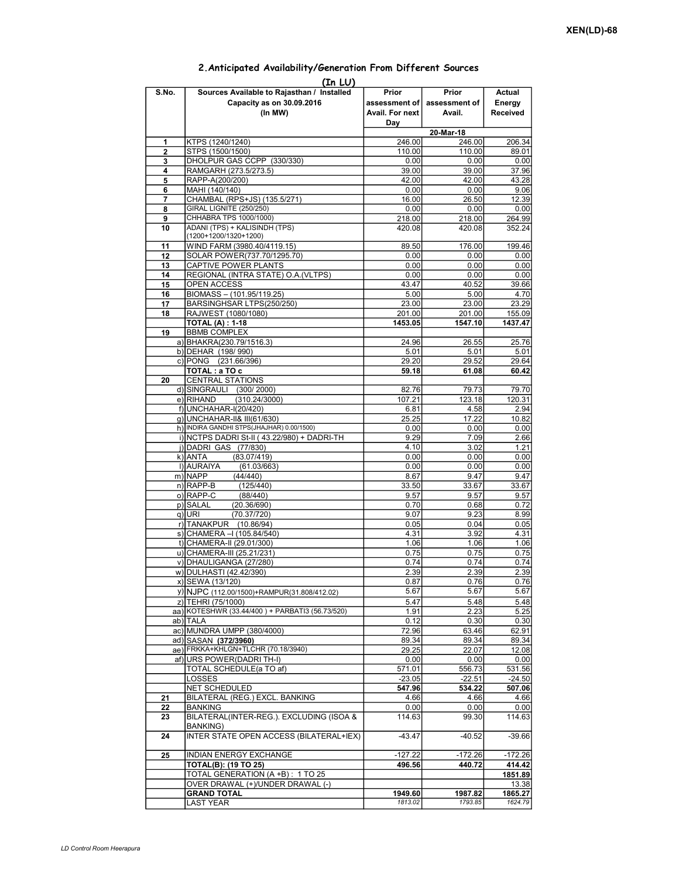## Prior assessment of Avail. For next Day Prior assessment of Avail. Actual Energy Received 1 KTPS (1240/1240) 246.00 246.00 206.34<br>2 STPS (1500/1500) 110.00 110.00 89.01 STPS (1500/1500) 3 DHOLPUR GAS CCPP (330/330)<br>
4 RAMGARH (273.5/273.5)<br>
39.00 39.00 37.96 4 RAMGARH (273.5/273.5) 39.00 39.00 37.96 5 RAPP-A(200/200) 42.00 42.00 43.28<br>6 MAHI (140/140) 0.00 0.00 9.06 6 MAHI (140/140) 0.00 0.00 9.06 **7** CHAMBAL (RPS+JS) (135.5/271) 8 GIRAL LIGNITE (250/250) 0.00 0.00 0.00 0.00 0.00 0.00 9 CHHABRA TPS 1000/1000) 218.00 218.00 218.00 264.99 10 ADANI (TPS) + KALISINDH (TPS) (1200+1200/1320+1200) 420.08 420.08 352.24 11 WIND FARM (3980.40/4119.15) 89.50 176.00 199.46 12 SOLAR POWER(737.70/1295.70)  $\begin{array}{|c|c|c|c|c|c|c|c|} \hline 0.00 & 0.00 & 0.00 & 0.00 \ \hline \end{array}$ 13 CAPTIVE POWER PLANTS 0.00 0.00 0.00 14 REGIONAL (INTRA STATE) O.A. (VLTPS) 0.00 0.00 0.00 0.00 0.00<br>15 OPEN ACCESS 43.47 40.52 39.66 15 OPEN ACCESS 43.47 16 BIOMASS – (101.95/119.25) 5.00 5.00 4.70<br>17 BARSINGHSAR LTPS(250/250) 23.00 23.00 23.29 17 BARSINGHSAR LTPS(250/250) 23.00 23.00 23.29<br>17 BAJWEST (1080/1080) 201.00 201.00 201.00 201.00 155.09 18 RAJWEST (1080/1080) 201.00 201.00 201.00 155.09<br>TOTAL (A): 1-18 1453.05 1547.10 1437.47 TOTAL (A) : 1-18 1453.05 19 **BBMB COMPLEX** a) BHAKRA(230.79/1516.3) 24.96 26.55 25.76 b) DEHAR (198/ 990)  $\begin{array}{|c|c|c|c|c|c|c|c|} \hline \rule{0.2cm}{0.2cm} & \rule{0.2cm}{0.2cm} & \rule{0.2cm}{0.2cm} & \rule{0.2cm}{0.2cm} & \rule{0.2cm}{0.2cm} & \rule{0.2cm}{0.2cm} & \rule{0.2cm}{0.2cm} & \rule{0.2cm}{0.2cm} & \rule{0.2cm}{0.2cm} & \rule{0.2cm}{0.2cm} & \rule{0.2cm}{0.2cm} & \rule{0.2cm}{0.2cm} & \rule{0.2cm$ c) PONG (231.66/396) 29.20 29.52 29.64 TOTAL : a TO c 60.42 20 CENTRAL STATIONS d) SINGRAULI (300/ 2000) 82.76 79.73 79.70 e) RIHAND (310.24/3000) 107.21 107.21 123.18 120.31 f) UNCHAHAR-I(20/420) 6.81 4.58 2.94<br>g) UNCHAHAR-II& III(61/630) 6.82 25.25 17.22 10.82 g) UNCHAHAR-II& III(61/630) 25.25 17.22<br>h) INDIRA GANDHI STPS(JHAJHAR) 0.00/1500) 0.00 0.00 0.00 h) INDIRA GANDHI STPS(JHAJHAR) 0.00/1500) 0.00 0.00 0.00 0.00 0.00 i) NCTPS DADRI St-II (43.22/980) + DADRI-TH 9.29 7.09 2.66 j) DADRI GAS (77/830) 4.10 3.02 1.21<br>k) ANTA (83.07/419) 6.00 0.00 0.00 0.00  $(83.07/419)$ l) AURAIYA (61.03/663) 0.00 0.00 0.00 0.00 (In LU) S.No. Sources Available to Rajasthan / Installed Capacity as on 30.09.2016 (In MW) 20-Mar-18 m)|NAPP (44/440) | 8.67| 9.47| 9.47| n) RAPP-B (125/440) 33.50 33.67 33.67 33.67 33.67 33.67 33.67 33.67 application of the contract of the contract of the contract of the contract of the contract of the contract of the contract of the contract of the contrac o)|RAPP-C (88/440) 9.57 9.57 9.57 p) SALAL (20.36/690) 0.70 0.70 0.68 0.72 q) URI (70.37/720) 8.99 r) TANAKPUR (10.86/94) 0.05 0.04 0.05 s) CHAMERA –I (105.84/540) (4.31 4.31 3.92 4.31 t) CHAMERA-II (29.01/300) 1.06 1.06 1.06 1.06 1.06 u) CHAMERA-III (25.21/231) 0.75 0.75 0.75 v) DHAULIGANGA (27/280) w) DULHASTI (42.42/390) 2.39 2.39 2.39 2.39 x) SEWA (13/120) 0.87 0.76 0.76 y) NJPC (112.00/1500)+RAMPUR(31.808/412.02) 5.67 5.67 5.67 z) TEHRI (75/1000) 6.48 5.48 5.48 5.48<br>aa) KOTESHWR (33.44/400 ) + PARBATI3 (56.73/520) 6.5.19 1.91 6.25 5.25 5.25 aa) KOTESHWR (33.44/400 ) + PARBATI3 (56.73/520) 1.91 2.23 5.25<br>ab) TALA 0.30 0.30 ab) TALA 0.12 0.30 0.30 ac) MUNDRA UMPP (380/4000) 72.96 63.46 62.91 ad) SASAN (372/3960) 89.34 89.34 89.34 89.34 ae) FRKKA+KHLGN+TLCHR (70.18/3940) 29.25 22.07 12.08<br>af) URS POWER(DADRI TH-I) 0.00 0.00 0.00 0.00  $a$ f) URS POWER(DADRI TH-I) TOTAL SCHEDULE(a TO af) 671.01 571.01 556.73 531.56  $\vert$ LOSSES  $\vert$  -23.05 $\vert$  -22.51 $\vert$  -24.50 $\vert$ NET SCHEDULED 647.96 534.22 507.06 21 | BILATERAL (REG.) EXCL. BANKING 4.66 | 4.66 | 4.66 | 4.66 | 4.66 | 4.66 | 4.66 | 4.66 | 4.66 | 4.66 | 4.66 | 4.66 | 4.66 | 4.66 | 4.66 | 4.66 | 4.66 | 4.66 | 4.66 | 4.66 | 4.66 | 4.66 | 4.66 | 4.66 | 4.66 | 4.66 | 4.66 22 BANKING 0.00 0.00 0.00 23 BILATERAL(INTER-REG.). EXCLUDING (ISOA & BANKING) 0.00 0.00 0.00<br>114.63 99.30 114.63 24 | INTER STATE OPEN ACCESS (BILATERAL+IEX) | -43.47 | -40.52 -39.66 25 |INDIAN ENERGY EXCHANGE -127.22 -172.26 -172.26 TOTAL(B): (19 TO 25) 496.56 440.72 414.42  $\overline{10TAL}$  GENERATION (A +B) : 1 TO 25 1851.89 OVER DRAWAL (+)/UNDER DRAWAL (-) 13.38 **GRAND TOTAL 1949.60** 1949.60 1987.82 1865.27<br>1 AST YFAR 1857.72 1865.27 LAST YEAR 1813.02

## 2.Anticipated Availability/Generation From Different Sources